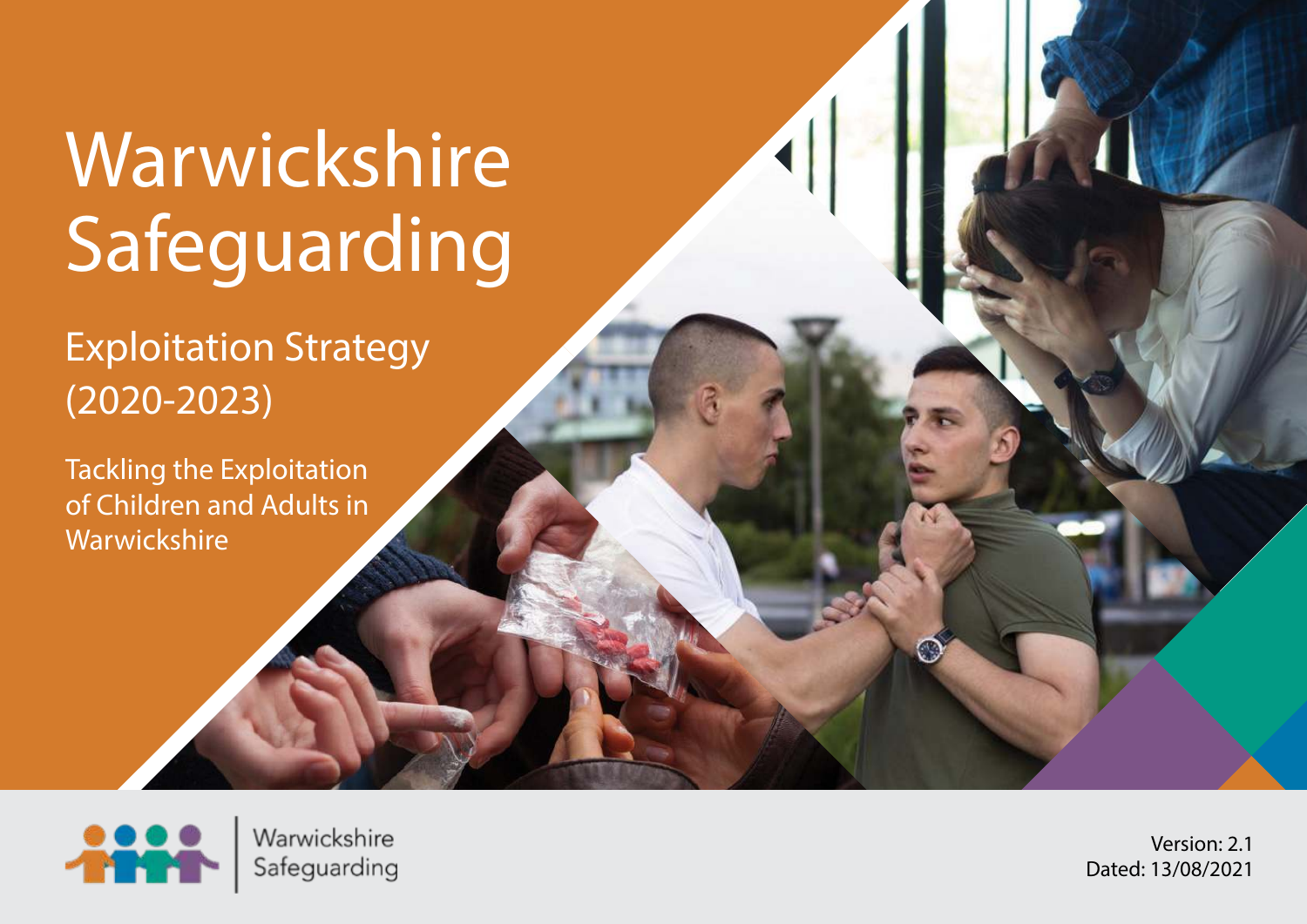# Warwickshire Safeguarding

Exploitation Strategy (2020-2023)

Tackling the Exploitation of Children and Adults in **Warwickshire** 



Warwickshire Safeguarding

Version: 2.1 Dated: 13/08/2021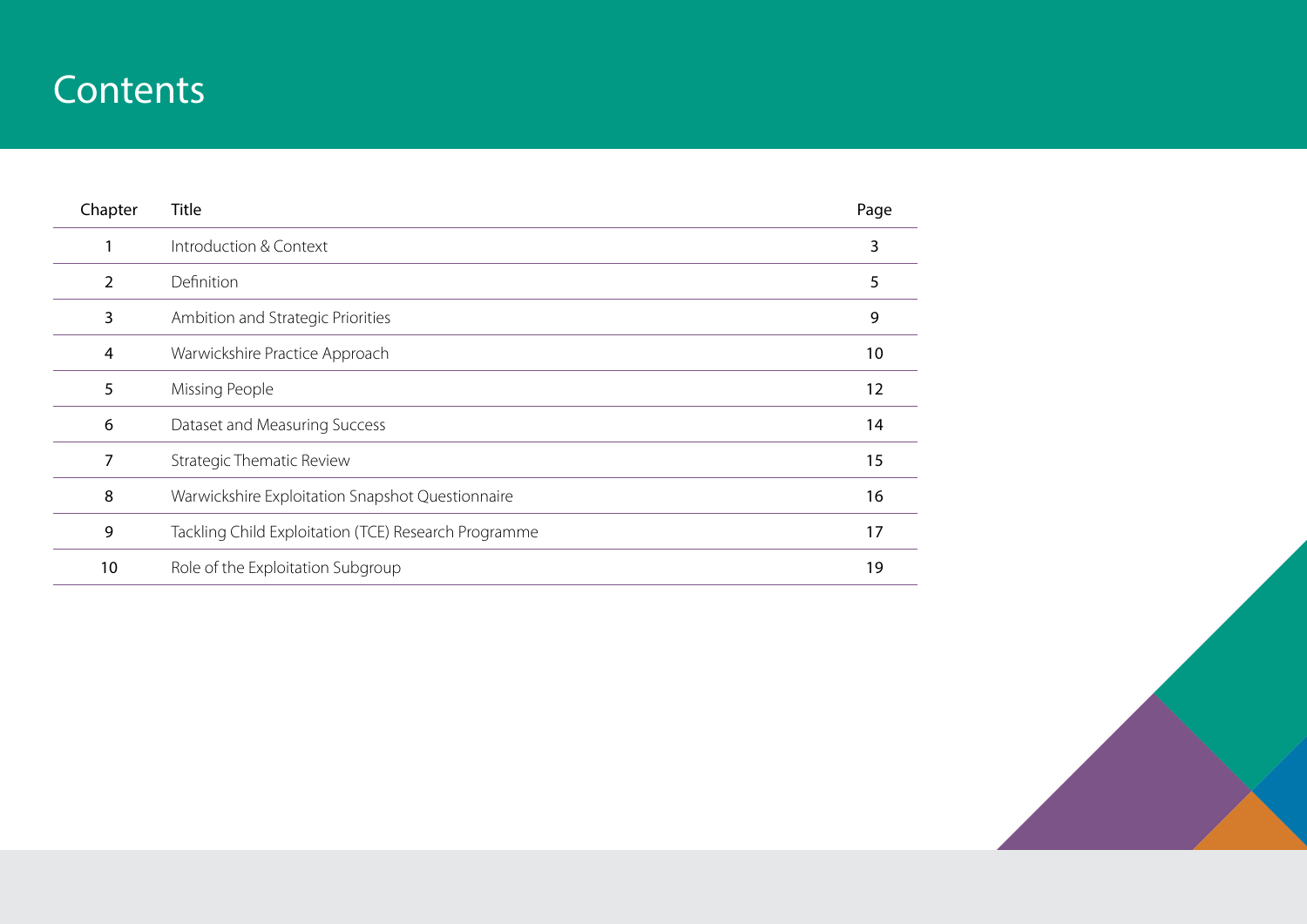# **Contents**

| Chapter | <b>Title</b>                                         | Page |
|---------|------------------------------------------------------|------|
|         | Introduction & Context                               | 3    |
| 2       | Definition                                           | 5    |
| 3       | Ambition and Strategic Priorities                    | 9    |
| 4       | Warwickshire Practice Approach                       | 10   |
| 5       | Missing People                                       | 12   |
| 6       | Dataset and Measuring Success                        | 14   |
| 7       | <b>Strategic Thematic Review</b>                     | 15   |
| 8       | Warwickshire Exploitation Snapshot Questionnaire     | 16   |
| 9       | Tackling Child Exploitation (TCE) Research Programme | 17   |
| 10      | Role of the Exploitation Subgroup                    | 19   |

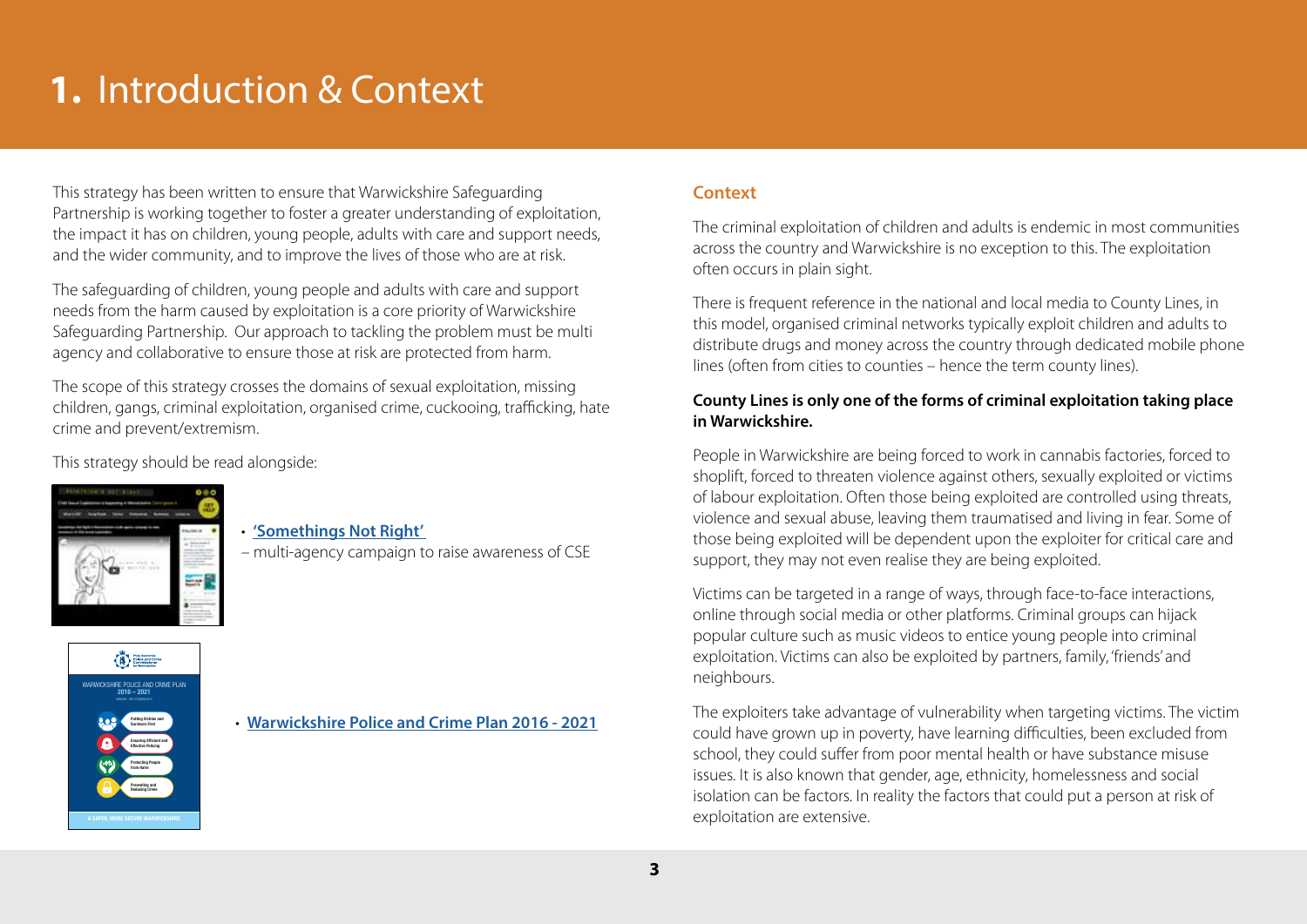# **1.** Introduction & Context

This strategy has been written to ensure that Warwickshire Safeguarding Partnership is working together to foster a greater understanding of exploitation, the impact it has on children, young people, adults with care and support needs, and the wider community, and to improve the lives of those who are at risk.

The safeguarding of children, young people and adults with care and support needs from the harm caused by exploitation is a core priority of Warwickshire Safeguarding Partnership. Our approach to tackling the problem must be multi agency and collaborative to ensure those at risk are protected from harm.

The scope of this strategy crosses the domains of sexual exploitation, missing children, gangs, criminal exploitation, organised crime, cuckooing, trafficking, hate crime and prevent/extremism.

This strategy should be read alongside:



WARWICKSHIRE POLICE AND CRIME PLAN 2016 – 2021 VERSION - 9TH OCTOBER 2019 **Putting Victims and Survivors First Ensuring Efficient and Effective Policing Protecting People from Harm Preventing and Reducing Crime** 

 $\begin{picture}(180,10) \put(0,0){\line(1,0){10}} \put(10,0){\line(1,0){10}} \put(10,0){\line(1,0){10}} \put(10,0){\line(1,0){10}} \put(10,0){\line(1,0){10}} \put(10,0){\line(1,0){10}} \put(10,0){\line(1,0){10}} \put(10,0){\line(1,0){10}} \put(10,0){\line(1,0){10}} \put(10,0){\line(1,0){10}} \put(10,0){\line(1,0){10}} \put(10,0){\line($ 

### • **['Somethings Not Right'](https://warwickshirecse.co.uk/)**

– multi-agency campaign to raise awareness of CSE

#### • **[Warwickshire Police and Crime Plan 2016 - 2021](http://Warwickshire Police and Crime Plan 2016 - 2021)**

### **Context**

The criminal exploitation of children and adults is endemic in most communities across the country and Warwickshire is no exception to this. The exploitation often occurs in plain sight.

There is frequent reference in the national and local media to County Lines, in this model, organised criminal networks typically exploit children and adults to distribute drugs and money across the country through dedicated mobile phone lines (often from cities to counties – hence the term county lines).

### **County Lines is only one of the forms of criminal exploitation taking place in Warwickshire.**

People in Warwickshire are being forced to work in cannabis factories, forced to shoplift, forced to threaten violence against others, sexually exploited or victims of labour exploitation. Often those being exploited are controlled using threats, violence and sexual abuse, leaving them traumatised and living in fear. Some of those being exploited will be dependent upon the exploiter for critical care and support, they may not even realise they are being exploited.

Victims can be targeted in a range of ways, through face-to-face interactions, online through social media or other platforms. Criminal groups can hijack popular culture such as music videos to entice young people into criminal exploitation. Victims can also be exploited by partners, family, 'friends' and neighbours.

The exploiters take advantage of vulnerability when targeting victims. The victim could have grown up in poverty, have learning difficulties, been excluded from school, they could suffer from poor mental health or have substance misuse issues. It is also known that gender, age, ethnicity, homelessness and social isolation can be factors. In reality the factors that could put a person at risk of exploitation are extensive.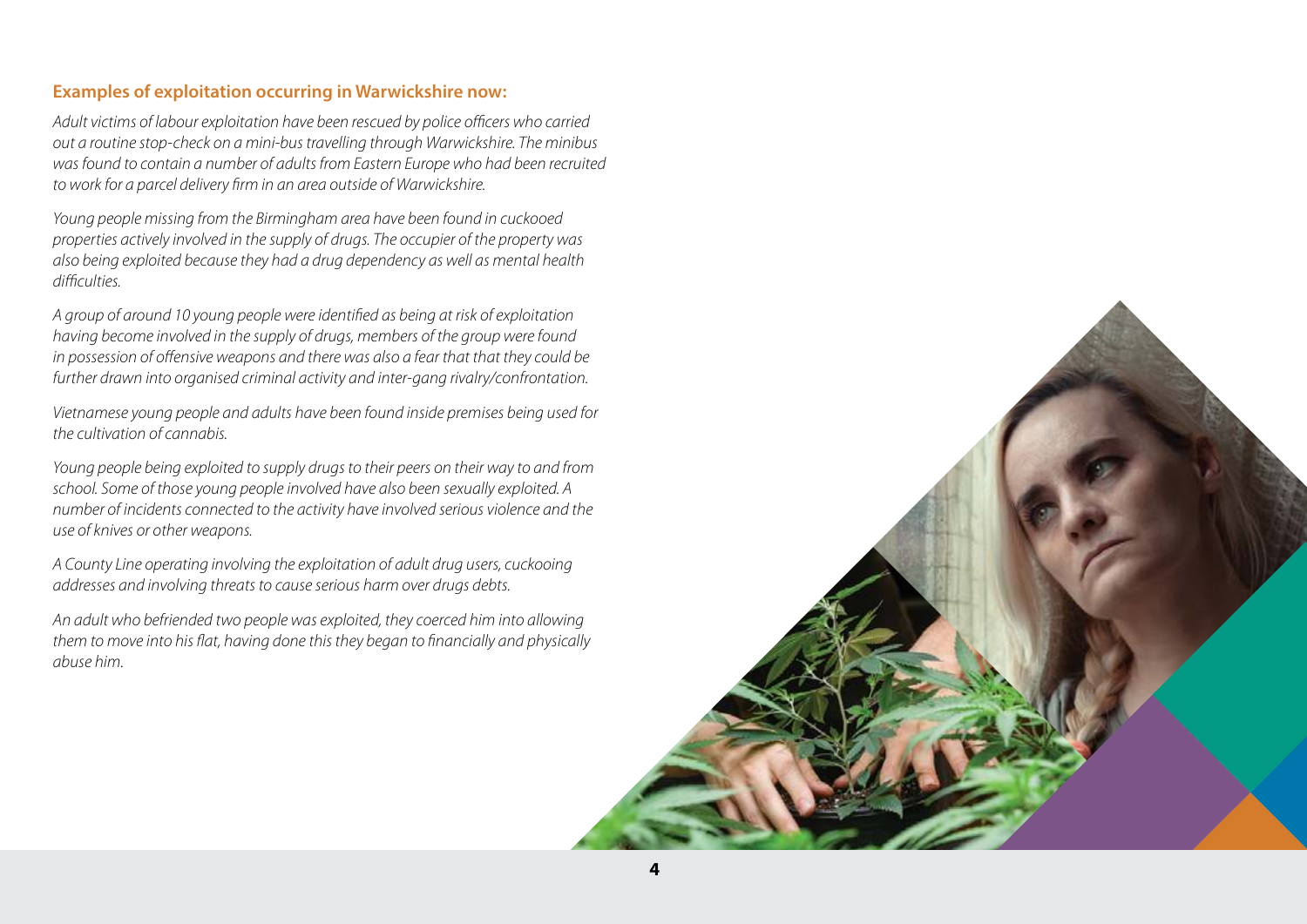### **Examples of exploitation occurring in Warwickshire now:**

Adult victims of labour exploitation have been rescued by police officers who carried out a routine stop-check on a mini-bus travelling through Warwickshire. The minibus was found to contain a number of adults from Eastern Europe who had been recruited to work for a parcel delivery firm in an area outside of Warwickshire.

Young people missing from the Birmingham area have been found in cuckooed properties actively involved in the supply of drugs. The occupier of the property was also being exploited because they had a drug dependency as well as mental health difficulties.

A group of around 10 young people were identified as being at risk of exploitation having become involved in the supply of drugs, members of the group were found in possession of offensive weapons and there was also a fear that that they could be further drawn into organised criminal activity and inter-gang rivalry/confrontation.

Vietnamese young people and adults have been found inside premises being used for the cultivation of cannabis.

Young people being exploited to supply drugs to their peers on their way to and from school. Some of those young people involved have also been sexually exploited. A number of incidents connected to the activity have involved serious violence and the use of knives or other weapons.

A County Line operating involving the exploitation of adult drug users, cuckooing addresses and involving threats to cause serious harm over drugs debts.

An adult who befriended two people was exploited, they coerced him into allowing them to move into his flat, having done this they began to financially and physically abuse him.

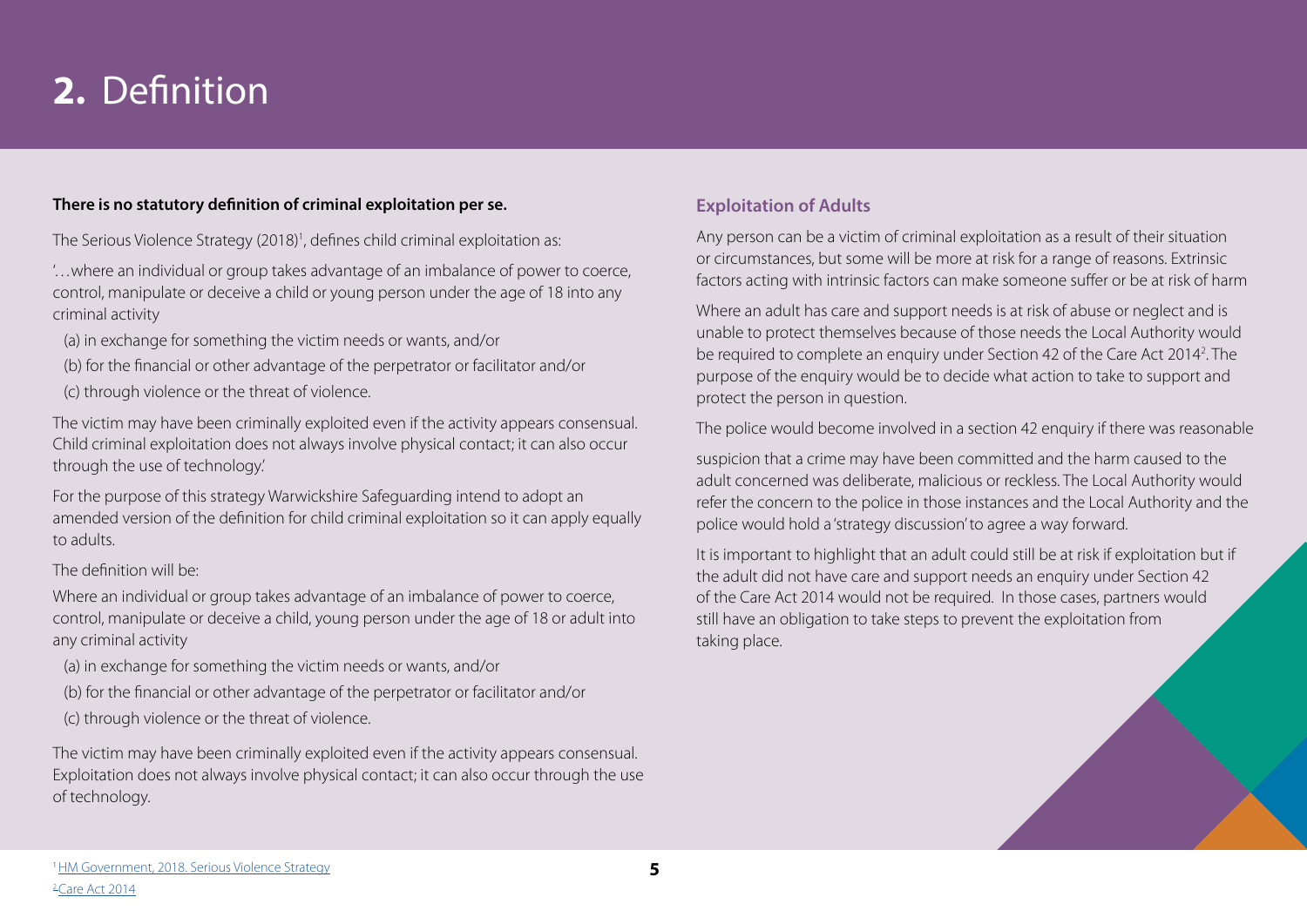# **2.** Definition

#### **There is no statutory definition of criminal exploitation per se.**

The Serious Violence Strategy (2018)<sup>1</sup>, defines child criminal exploitation as:

'…where an individual or group takes advantage of an imbalance of power to coerce, control, manipulate or deceive a child or young person under the age of 18 into any criminal activity

(a) in exchange for something the victim needs or wants, and/or

- (b) for the financial or other advantage of the perpetrator or facilitator and/or
- (c) through violence or the threat of violence.

The victim may have been criminally exploited even if the activity appears consensual. Child criminal exploitation does not always involve physical contact; it can also occur through the use of technology.'

For the purpose of this strategy Warwickshire Safeguarding intend to adopt an amended version of the definition for child criminal exploitation so it can apply equally to adults.

#### The definition will be:

Where an individual or group takes advantage of an imbalance of power to coerce, control, manipulate or deceive a child, young person under the age of 18 or adult into any criminal activity

- (a) in exchange for something the victim needs or wants, and/or
- (b) for the financial or other advantage of the perpetrator or facilitator and/or
- (c) through violence or the threat of violence.

The victim may have been criminally exploited even if the activity appears consensual. Exploitation does not always involve physical contact; it can also occur through the use of technology.

### **Exploitation of Adults**

Any person can be a victim of criminal exploitation as a result of their situation or circumstances, but some will be more at risk for a range of reasons. Extrinsic factors acting with intrinsic factors can make someone suffer or be at risk of harm

Where an adult has care and support needs is at risk of abuse or neglect and is unable to protect themselves because of those needs the Local Authority would be required to complete an enquiry under Section 42 of the Care Act 2014<sup>2</sup>. The purpose of the enquiry would be to decide what action to take to support and protect the person in question.

The police would become involved in a section 42 enquiry if there was reasonable

suspicion that a crime may have been committed and the harm caused to the adult concerned was deliberate, malicious or reckless. The Local Authority would refer the concern to the police in those instances and the Local Authority and the police would hold a 'strategy discussion' to agree a way forward.

It is important to highlight that an adult could still be at risk if exploitation but if the adult did not have care and support needs an enquiry under Section 42 of the Care Act 2014 would not be required. In those cases, partners would still have an obligation to take steps to prevent the exploitation from taking place.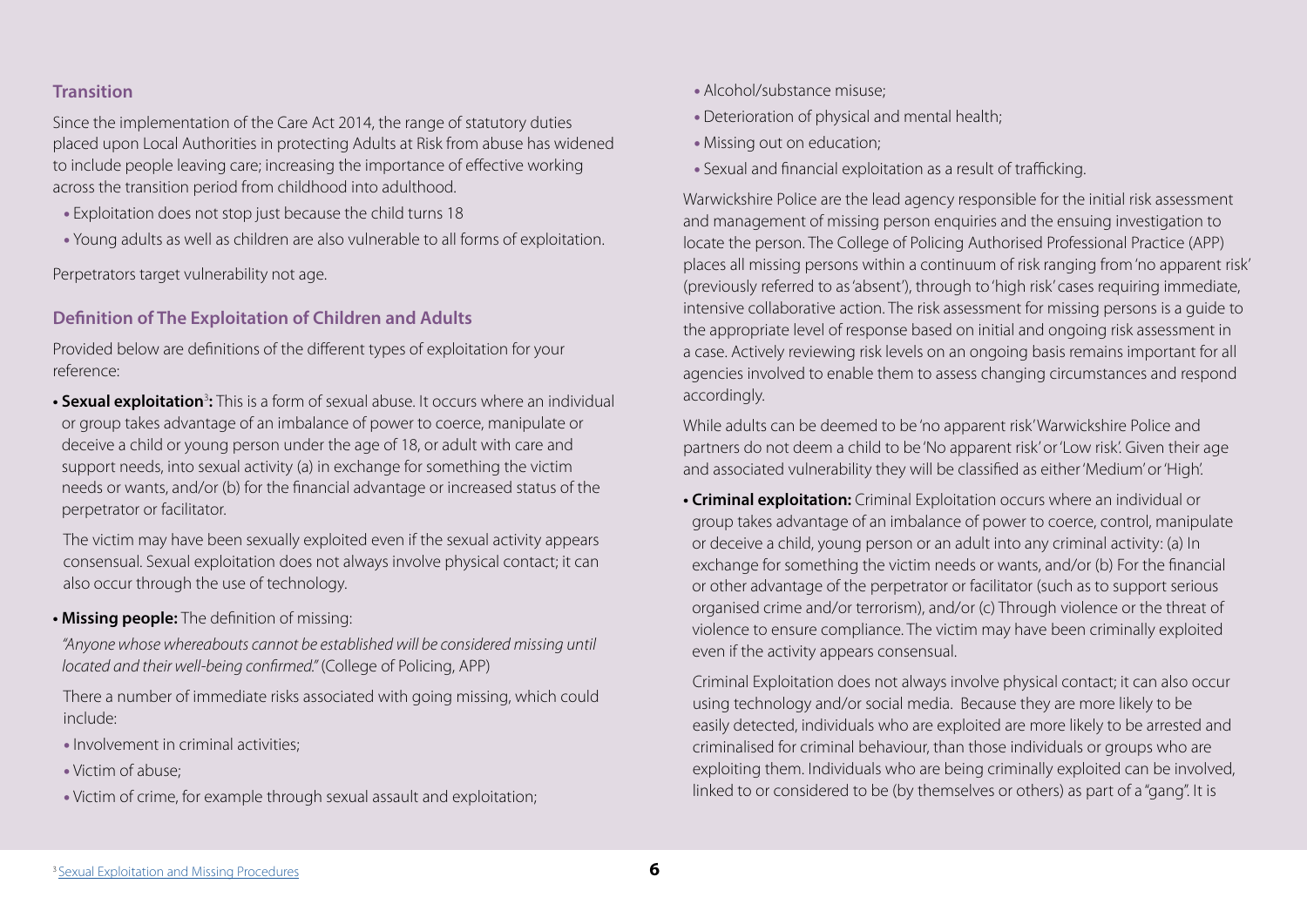### **Transition**

Since the implementation of the Care Act 2014, the range of statutory duties placed upon Local Authorities in protecting Adults at Risk from abuse has widened to include people leaving care; increasing the importance of effective working across the transition period from childhood into adulthood.

- Exploitation does not stop just because the child turns 18
- Young adults as well as children are also vulnerable to all forms of exploitation.

Perpetrators target vulnerability not age.

### **Definition of The Exploitation of Children and Adults**

Provided below are definitions of the different types of exploitation for your reference:

• Sexual exploitation<sup>3</sup>: This is a form of sexual abuse. It occurs where an individual or group takes advantage of an imbalance of power to coerce, manipulate or deceive a child or young person under the age of 18, or adult with care and support needs, into sexual activity (a) in exchange for something the victim needs or wants, and/or (b) for the financial advantage or increased status of the perpetrator or facilitator.

 The victim may have been sexually exploited even if the sexual activity appears consensual. Sexual exploitation does not always involve physical contact; it can also occur through the use of technology.

### **• Missing people:** The definition of missing:

 "Anyone whose whereabouts cannot be established will be considered missing until located and their well-being confirmed." (College of Policing, APP)

 There a number of immediate risks associated with going missing, which could include:

- Involvement in criminal activities;
- Victim of abuse;
- Victim of crime, for example through sexual assault and exploitation;
- Alcohol/substance misuse;
- Deterioration of physical and mental health;
- Missing out on education;
- Sexual and financial exploitation as a result of trafficking.

Warwickshire Police are the lead agency responsible for the initial risk assessment and management of missing person enquiries and the ensuing investigation to locate the person. The College of Policing Authorised Professional Practice (APP) places all missing persons within a continuum of risk ranging from 'no apparent risk' (previously referred to as 'absent'), through to 'high risk' cases requiring immediate, intensive collaborative action. The risk assessment for missing persons is a guide to the appropriate level of response based on initial and ongoing risk assessment in a case. Actively reviewing risk levels on an ongoing basis remains important for all agencies involved to enable them to assess changing circumstances and respond accordingly.

While adults can be deemed to be 'no apparent risk' Warwickshire Police and partners do not deem a child to be 'No apparent risk' or 'Low risk'. Given their age and associated vulnerability they will be classified as either 'Medium' or 'High'.

**• Criminal exploitation:** Criminal Exploitation occurs where an individual or group takes advantage of an imbalance of power to coerce, control, manipulate or deceive a child, young person or an adult into any criminal activity: (a) In exchange for something the victim needs or wants, and/or (b) For the financial or other advantage of the perpetrator or facilitator (such as to support serious organised crime and/or terrorism), and/or (c) Through violence or the threat of violence to ensure compliance. The victim may have been criminally exploited even if the activity appears consensual.

 Criminal Exploitation does not always involve physical contact; it can also occur using technology and/or social media. Because they are more likely to be easily detected, individuals who are exploited are more likely to be arrested and criminalised for criminal behaviour, than those individuals or groups who are exploiting them. Individuals who are being criminally exploited can be involved, linked to or considered to be (by themselves or others) as part of a "gang". It is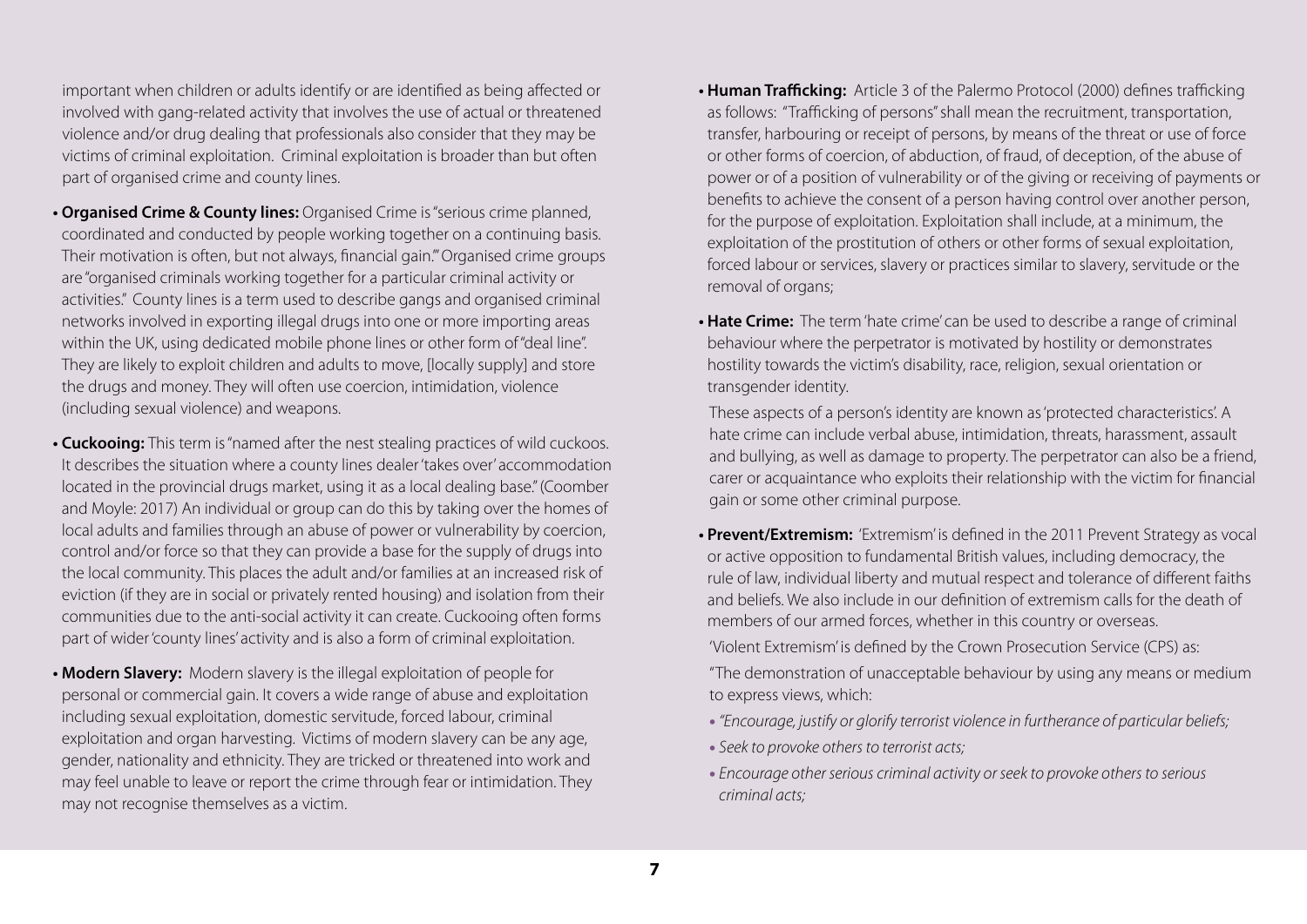important when children or adults identify or are identified as being affected or involved with gang-related activity that involves the use of actual or threatened violence and/or drug dealing that professionals also consider that they may be victims of criminal exploitation. Criminal exploitation is broader than but often part of organised crime and county lines.

- **Organised Crime & County lines:** Organised Crime is "serious crime planned, coordinated and conducted by people working together on a continuing basis. Their motivation is often, but not always, financial gain.'" Organised crime groups are "organised criminals working together for a particular criminal activity or activities." County lines is a term used to describe gangs and organised criminal networks involved in exporting illegal drugs into one or more importing areas within the UK, using dedicated mobile phone lines or other form of "deal line". They are likely to exploit children and adults to move, [locally supply] and store the drugs and money. They will often use coercion, intimidation, violence (including sexual violence) and weapons.
- **Cuckooing:** This term is "named after the nest stealing practices of wild cuckoos. It describes the situation where a county lines dealer 'takes over' accommodation located in the provincial drugs market, using it as a local dealing base." (Coomber and Moyle: 2017) An individual or group can do this by taking over the homes of local adults and families through an abuse of power or vulnerability by coercion, control and/or force so that they can provide a base for the supply of drugs into the local community. This places the adult and/or families at an increased risk of eviction (if they are in social or privately rented housing) and isolation from their communities due to the anti-social activity it can create. Cuckooing often forms part of wider 'county lines' activity and is also a form of criminal exploitation.
- **Modern Slavery:** Modern slavery is the illegal exploitation of people for personal or commercial gain. It covers a wide range of abuse and exploitation including sexual exploitation, domestic servitude, forced labour, criminal exploitation and organ harvesting. Victims of modern slavery can be any age, gender, nationality and ethnicity. They are tricked or threatened into work and may feel unable to leave or report the crime through fear or intimidation. They may not recognise themselves as a victim.
- **Human Trafficking:** Article 3 of the Palermo Protocol (2000) defines trafficking as follows: "Trafficking of persons" shall mean the recruitment, transportation, transfer, harbouring or receipt of persons, by means of the threat or use of force or other forms of coercion, of abduction, of fraud, of deception, of the abuse of power or of a position of vulnerability or of the giving or receiving of payments or benefits to achieve the consent of a person having control over another person, for the purpose of exploitation. Exploitation shall include, at a minimum, the exploitation of the prostitution of others or other forms of sexual exploitation, forced labour or services, slavery or practices similar to slavery, servitude or the removal of organs;
- **Hate Crime:** The term 'hate crime' can be used to describe a range of criminal behaviour where the perpetrator is motivated by hostility or demonstrates hostility towards the victim's disability, race, religion, sexual orientation or transgender identity.

 These aspects of a person's identity are known as 'protected characteristics'. A hate crime can include verbal abuse, intimidation, threats, harassment, assault and bullying, as well as damage to property. The perpetrator can also be a friend, carer or acquaintance who exploits their relationship with the victim for financial gain or some other criminal purpose.

**• Prevent/Extremism:** 'Extremism' is defined in the 2011 Prevent Strategy as vocal or active opposition to fundamental British values, including democracy, the rule of law, individual liberty and mutual respect and tolerance of different faiths and beliefs. We also include in our definition of extremism calls for the death of members of our armed forces, whether in this country or overseas.

'Violent Extremism' is defined by the Crown Prosecution Service (CPS) as:

 "The demonstration of unacceptable behaviour by using any means or medium to express views, which:

- "Encourage, justify or glorify terrorist violence in furtherance of particular beliefs;
- Seek to provoke others to terrorist acts;
- Encourage other serious criminal activity or seek to provoke others to serious criminal acts;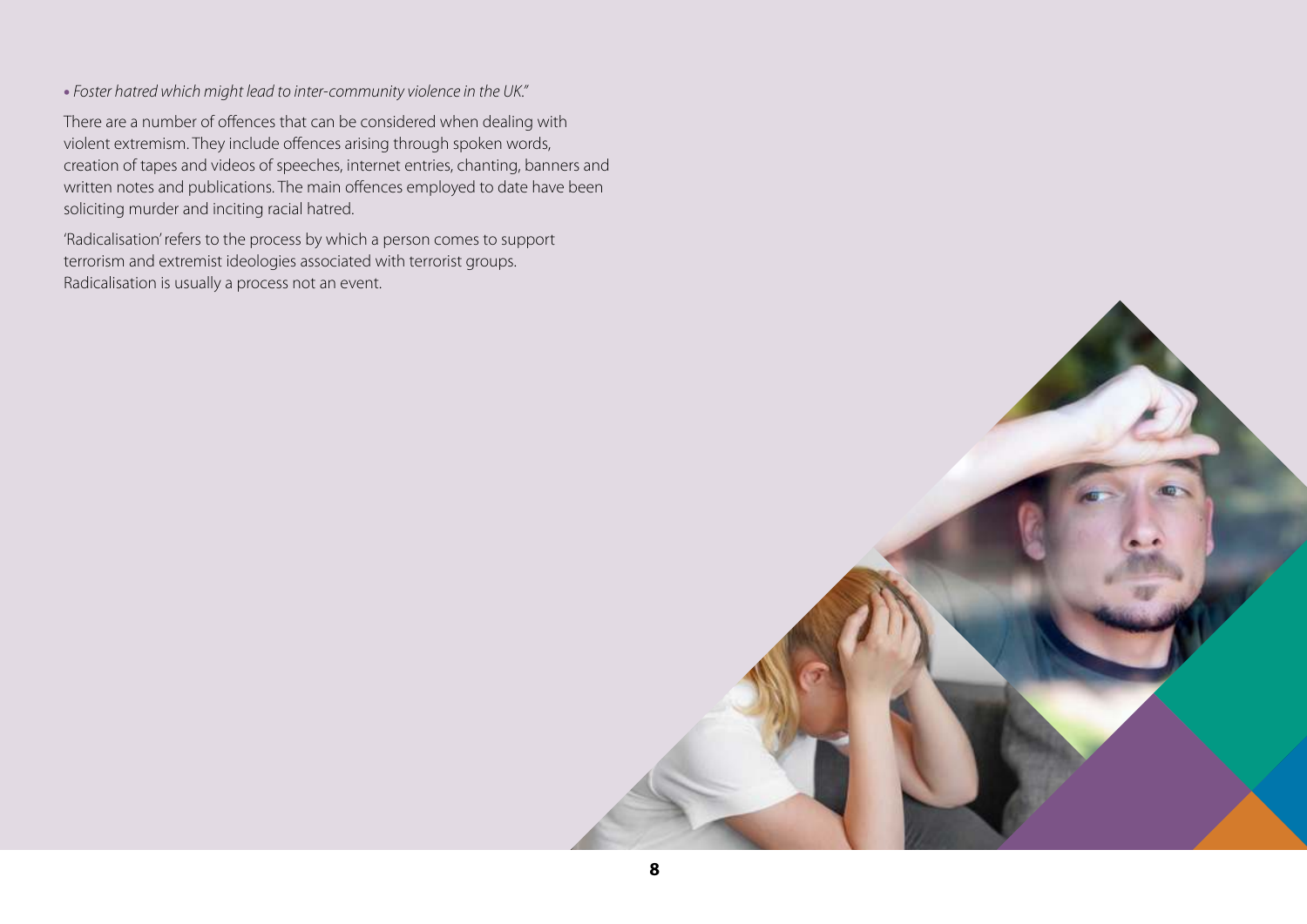• Foster hatred which might lead to inter-community violence in the UK."

 There are a number of offences that can be considered when dealing with violent extremism. They include offences arising through spoken words, creation of tapes and videos of speeches, internet entries, chanting, banners and written notes and publications. The main offences employed to date have been soliciting murder and inciting racial hatred.

 'Radicalisation' refers to the process by which a person comes to support terrorism and extremist ideologies associated with terrorist groups. Radicalisation is usually a process not an event.

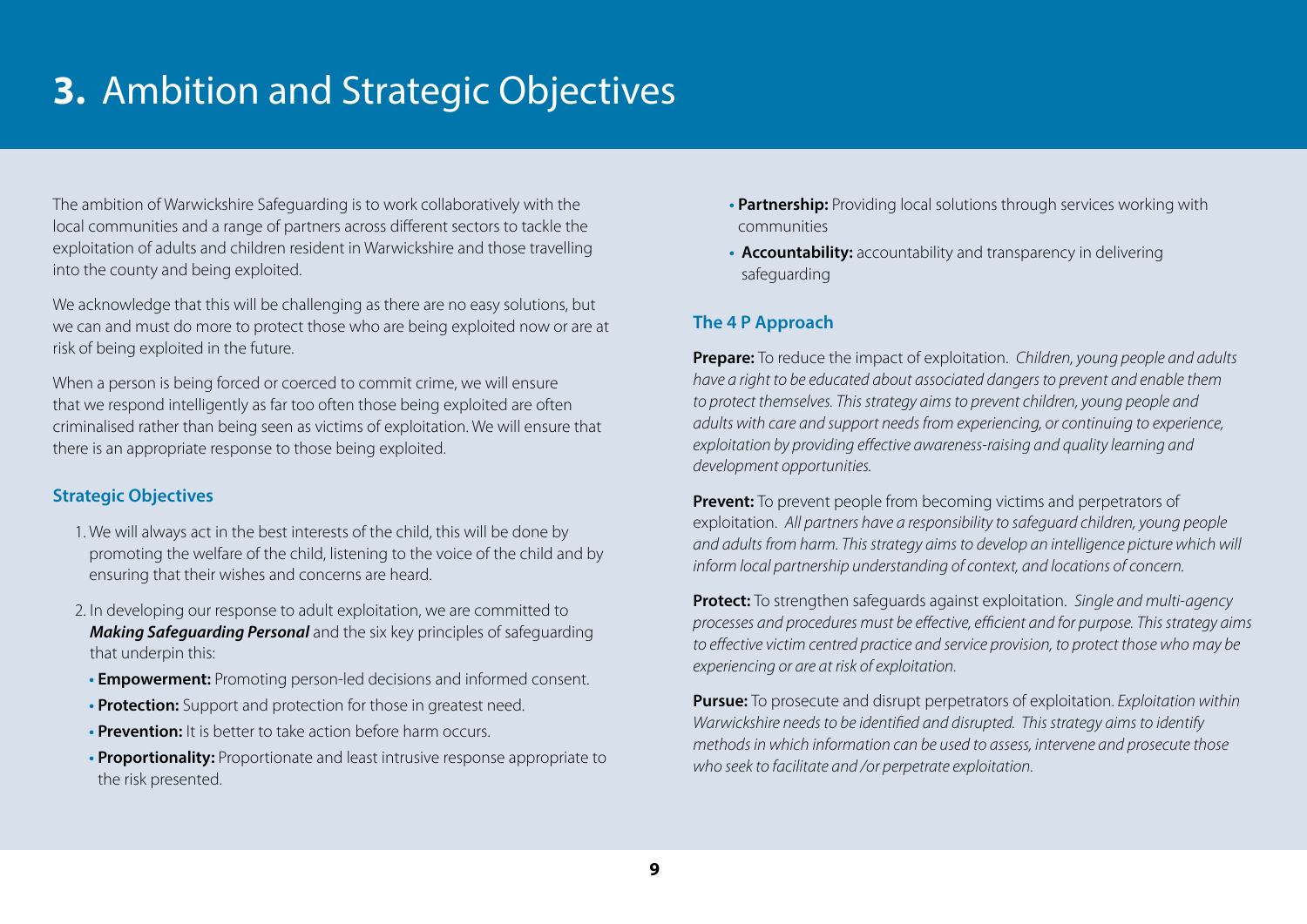# **3.** Ambition and Strategic Objectives

The ambition of Warwickshire Safeguarding is to work collaboratively with the local communities and a range of partners across different sectors to tackle the exploitation of adults and children resident in Warwickshire and those travelling into the county and being exploited.

We acknowledge that this will be challenging as there are no easy solutions, but we can and must do more to protect those who are being exploited now or are at risk of being exploited in the future.

When a person is being forced or coerced to commit crime, we will ensure that we respond intelligently as far too often those being exploited are often criminalised rather than being seen as victims of exploitation. We will ensure that there is an appropriate response to those being exploited.

### **Strategic Objectives**

- 1. We will always act in the best interests of the child, this will be done by promoting the welfare of the child, listening to the voice of the child and by ensuring that their wishes and concerns are heard.
- 2. In developing our response to adult exploitation, we are committed to **Making Safeguarding Personal** and the six key principles of safeguarding that underpin this:
	- **Empowerment:** Promoting person-led decisions and informed consent.
- **Protection:** Support and protection for those in greatest need.
- **Prevention:** It is better to take action before harm occurs.
- **Proportionality:** Proportionate and least intrusive response appropriate to the risk presented.
- **Partnership:** Providing local solutions through services working with communities
- **Accountability:** accountability and transparency in delivering safeguarding

# **The 4 P Approach**

**Prepare:** To reduce the impact of exploitation. Children, young people and adults have a right to be educated about associated dangers to prevent and enable them to protect themselves. This strategy aims to prevent children, young people and adults with care and support needs from experiencing, or continuing to experience, exploitation by providing effective awareness-raising and quality learning and development opportunities.

**Prevent:** To prevent people from becoming victims and perpetrators of exploitation. All partners have a responsibility to safeguard children, young people and adults from harm. This strategy aims to develop an intelligence picture which will inform local partnership understanding of context, and locations of concern.

**Protect:** To strengthen safeguards against exploitation. Single and multi-agency processes and procedures must be effective, efficient and for purpose. This strategy aims to effective victim centred practice and service provision, to protect those who may be experiencing or are at risk of exploitation.

**Pursue:** To prosecute and disrupt perpetrators of exploitation. Exploitation within Warwickshire needs to be identified and disrupted. This strategy aims to identify methods in which information can be used to assess, intervene and prosecute those who seek to facilitate and /or perpetrate exploitation.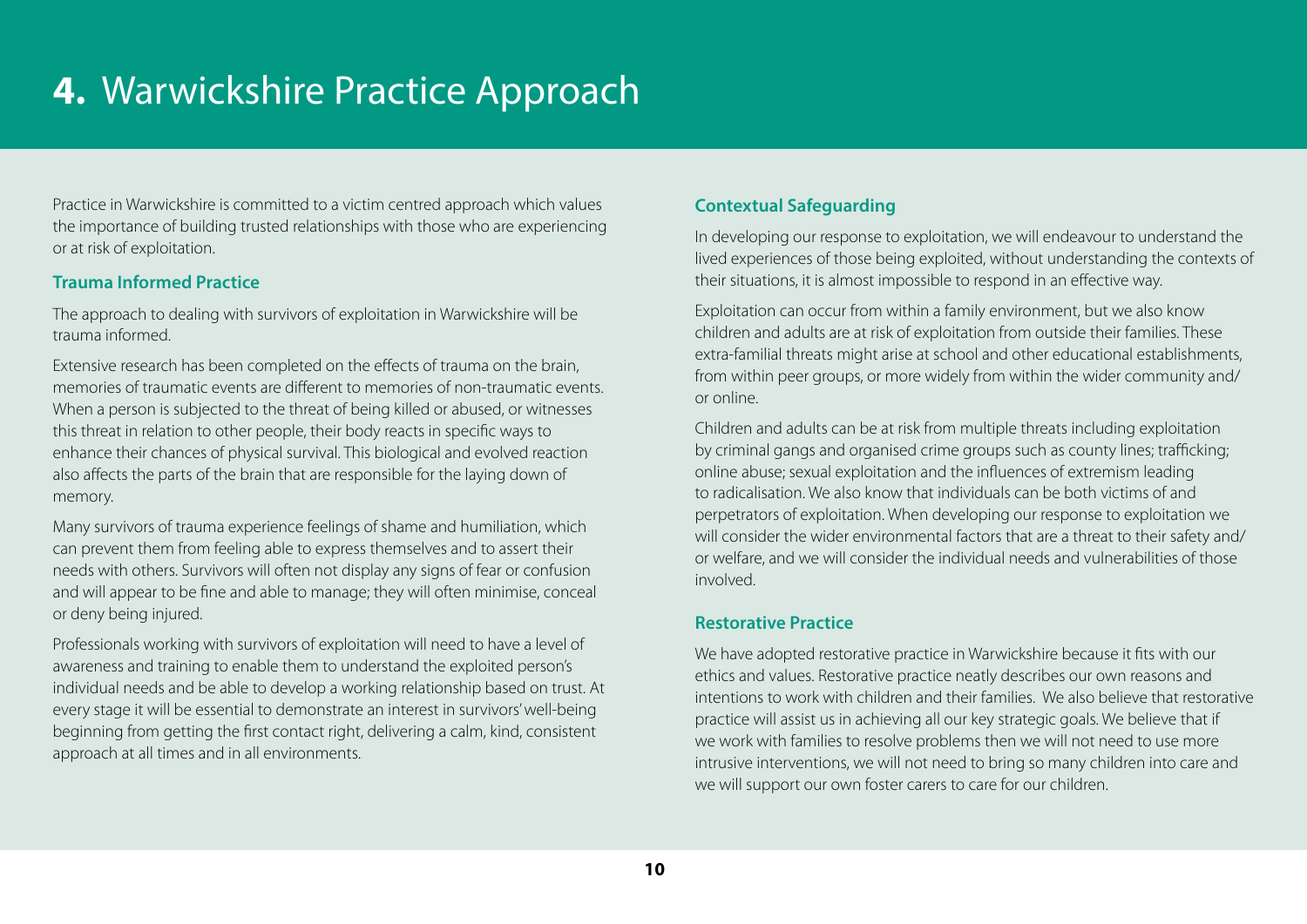Practice in Warwickshire is committed to a victim centred approach which values the importance of building trusted relationships with those who are experiencing or at risk of exploitation.

# **Trauma Informed Practice**

The approach to dealing with survivors of exploitation in Warwickshire will be trauma informed.

Extensive research has been completed on the effects of trauma on the brain, memories of traumatic events are different to memories of non-traumatic events. When a person is subjected to the threat of being killed or abused, or witnesses this threat in relation to other people, their body reacts in specific ways to enhance their chances of physical survival. This biological and evolved reaction also affects the parts of the brain that are responsible for the laying down of memory.

Many survivors of trauma experience feelings of shame and humiliation, which can prevent them from feeling able to express themselves and to assert their needs with others. Survivors will often not display any signs of fear or confusion and will appear to be fine and able to manage; they will often minimise, conceal or deny being injured.

Professionals working with survivors of exploitation will need to have a level of awareness and training to enable them to understand the exploited person's individual needs and be able to develop a working relationship based on trust. At every stage it will be essential to demonstrate an interest in survivors' well-being beginning from getting the first contact right, delivering a calm, kind, consistent approach at all times and in all environments.

# **Contextual Safeguarding**

In developing our response to exploitation, we will endeavour to understand the lived experiences of those being exploited, without understanding the contexts of their situations, it is almost impossible to respond in an effective way.

Exploitation can occur from within a family environment, but we also know children and adults are at risk of exploitation from outside their families. These extra-familial threats might arise at school and other educational establishments, from within peer groups, or more widely from within the wider community and/ or online.

Children and adults can be at risk from multiple threats including exploitation by criminal gangs and organised crime groups such as county lines; trafficking; online abuse; sexual exploitation and the influences of extremism leading to radicalisation. We also know that individuals can be both victims of and perpetrators of exploitation. When developing our response to exploitation we will consider the wider environmental factors that are a threat to their safety and/ or welfare, and we will consider the individual needs and vulnerabilities of those involved.

### **Restorative Practice**

We have adopted restorative practice in Warwickshire because it fits with our ethics and values. Restorative practice neatly describes our own reasons and intentions to work with children and their families. We also believe that restorative practice will assist us in achieving all our key strategic goals. We believe that if we work with families to resolve problems then we will not need to use more intrusive interventions, we will not need to bring so many children into care and we will support our own foster carers to care for our children.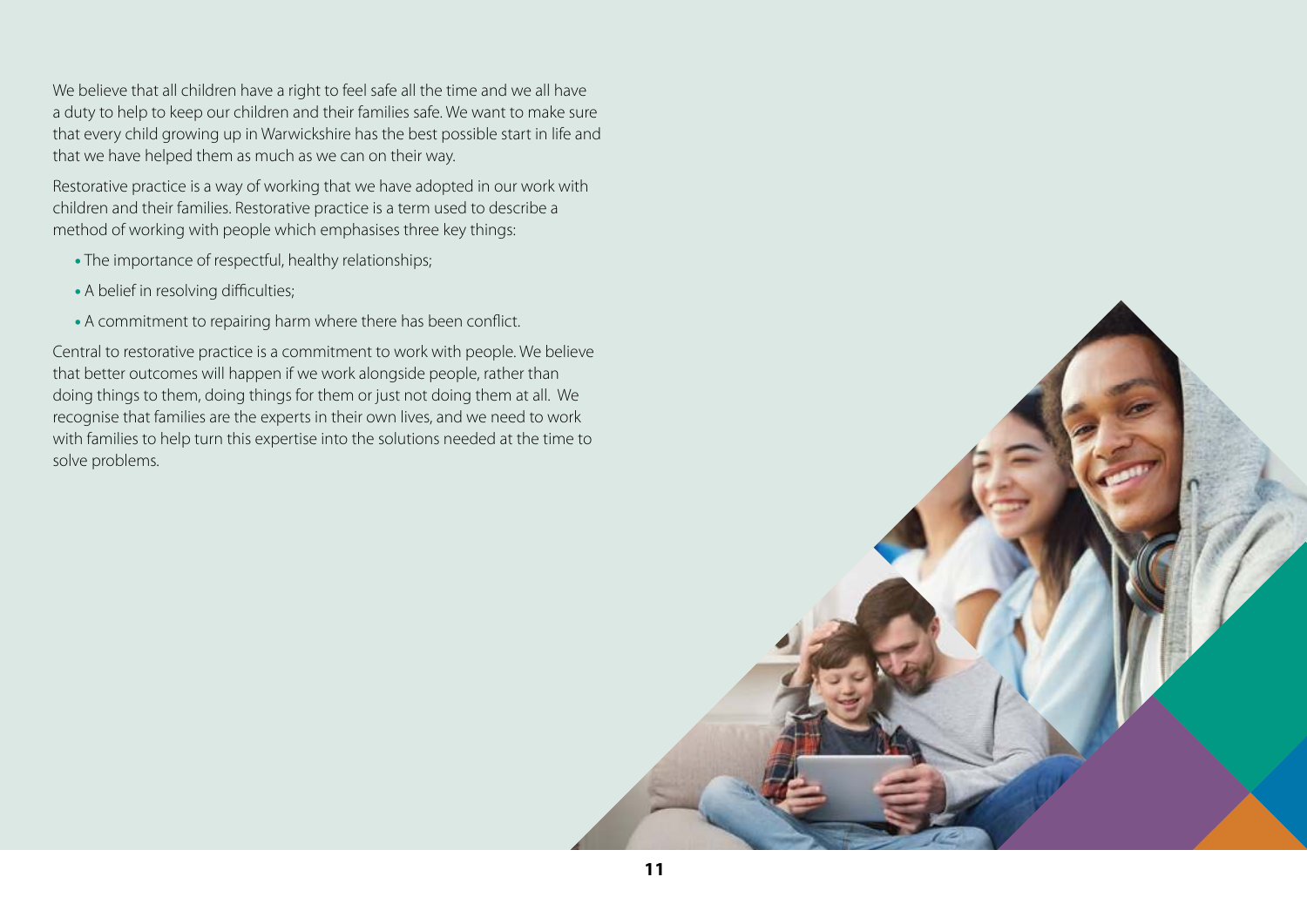We believe that all children have a right to feel safe all the time and we all have a duty to help to keep our children and their families safe. We want to make sure that every child growing up in Warwickshire has the best possible start in life and that we have helped them as much as we can on their way.

Restorative practice is a way of working that we have adopted in our work with children and their families. Restorative practice is a term used to describe a method of working with people which emphasises three key things:

- The importance of respectful, healthy relationships;
- A belief in resolving difficulties;
- A commitment to repairing harm where there has been conflict.

Central to restorative practice is a commitment to work with people. We believe that better outcomes will happen if we work alongside people, rather than doing things to them, doing things for them or just not doing them at all. We recognise that families are the experts in their own lives, and we need to work with families to help turn this expertise into the solutions needed at the time to solve problems.

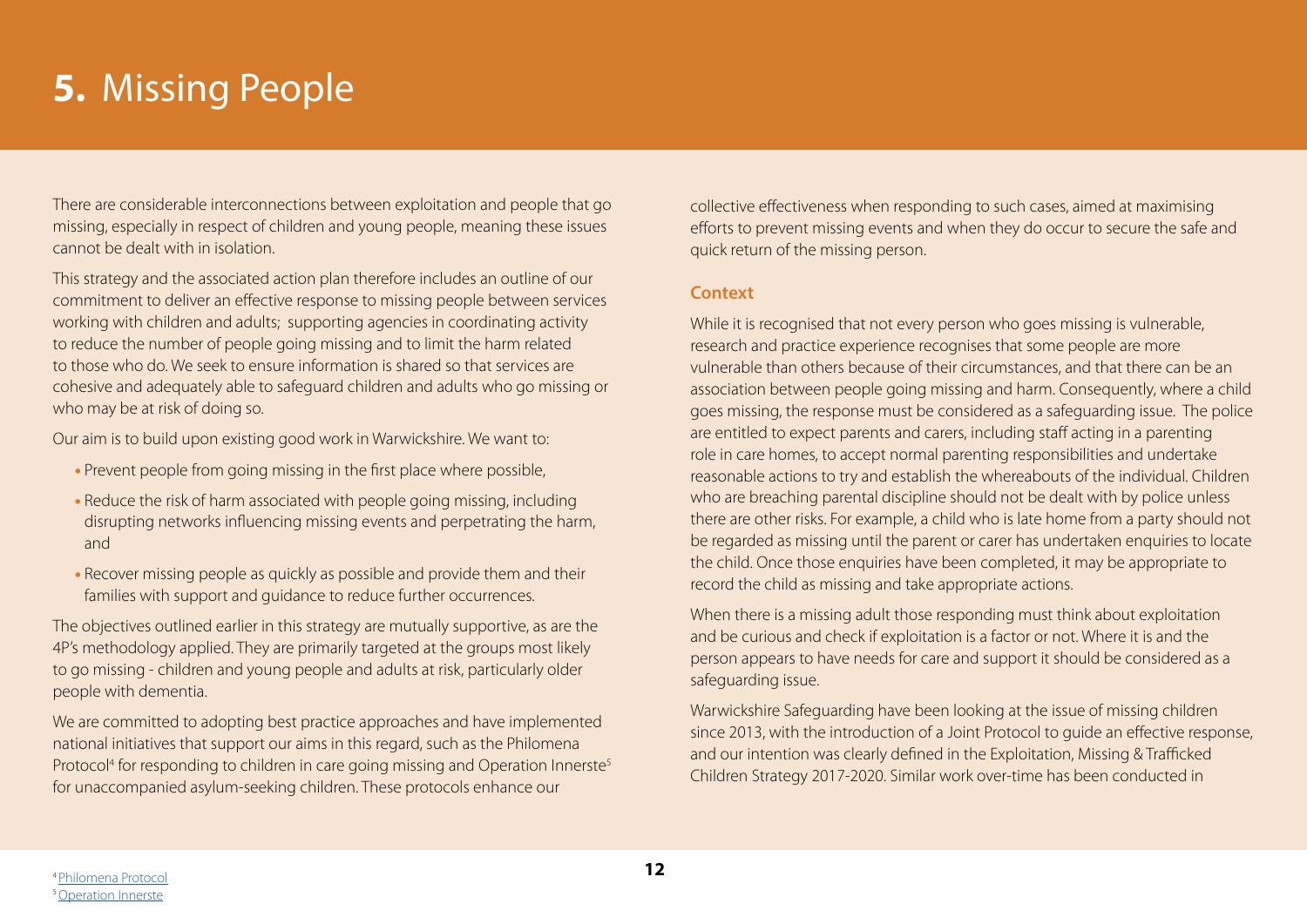# **5.** Missing People

There are considerable interconnections between exploitation and people that go missing, especially in respect of children and young people, meaning these issues cannot be dealt with in isolation.

This strategy and the associated action plan therefore includes an outline of our commitment to deliver an effective response to missing people between services working with children and adults; supporting agencies in coordinating activity to reduce the number of people going missing and to limit the harm related to those who do. We seek to ensure information is shared so that services are cohesive and adequately able to safeguard children and adults who go missing or who may be at risk of doing so.

Our aim is to build upon existing good work in Warwickshire. We want to:

- Prevent people from going missing in the first place where possible,
- Reduce the risk of harm associated with people going missing, including disrupting networks influencing missing events and perpetrating the harm, and
- Recover missing people as quickly as possible and provide them and their families with support and guidance to reduce further occurrences.

The objectives outlined earlier in this strategy are mutually supportive, as are the 4P's methodology applied. They are primarily targeted at the groups most likely to go missing - children and young people and adults at risk, particularly older people with dementia.

We are committed to adopting best practice approaches and have implemented national initiatives that support our aims in this regard, such as the Philomena Protocol<sup>4</sup> for responding to children in care going missing and Operation Innerste<sup>5</sup> for unaccompanied asylum-seeking children. These protocols enhance our

collective effectiveness when responding to such cases, aimed at maximising efforts to prevent missing events and when they do occur to secure the safe and quick return of the missing person.

#### **Context**

While it is recognised that not every person who goes missing is vulnerable, research and practice experience recognises that some people are more vulnerable than others because of their circumstances, and that there can be an association between people going missing and harm. Consequently, where a child goes missing, the response must be considered as a safeguarding issue. The police are entitled to expect parents and carers, including staff acting in a parenting role in care homes, to accept normal parenting responsibilities and undertake reasonable actions to try and establish the whereabouts of the individual. Children who are breaching parental discipline should not be dealt with by police unless there are other risks. For example, a child who is late home from a party should not be regarded as missing until the parent or carer has undertaken enquiries to locate the child. Once those enquiries have been completed, it may be appropriate to record the child as missing and take appropriate actions.

When there is a missing adult those responding must think about exploitation and be curious and check if exploitation is a factor or not. Where it is and the person appears to have needs for care and support it should be considered as a safeguarding issue.

Warwickshire Safeguarding have been looking at the issue of missing children since 2013, with the introduction of a Joint Protocol to guide an effective response, and our intention was clearly defined in the Exploitation, Missing & Trafficked Children Strategy 2017-2020. Similar work over-time has been conducted in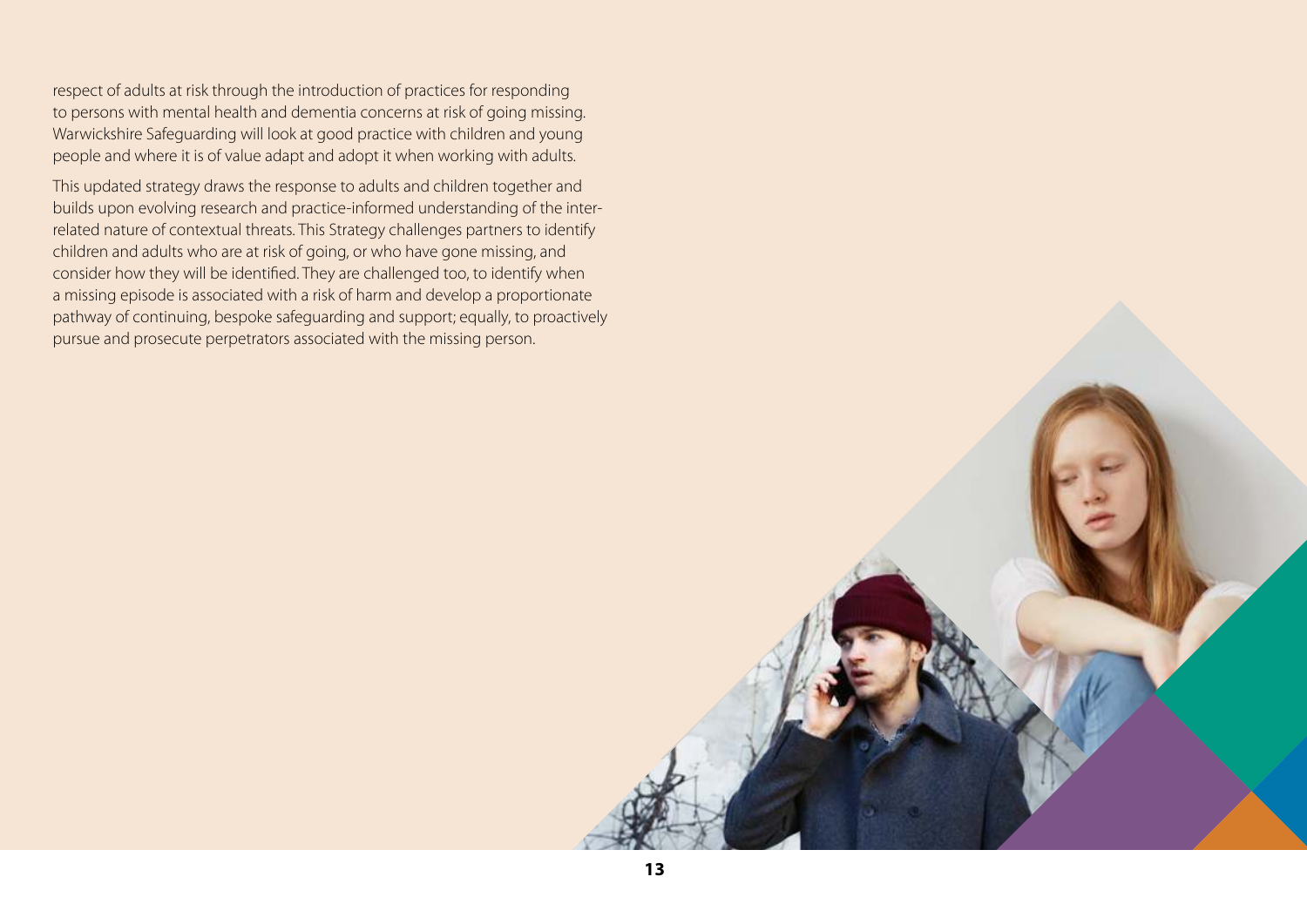respect of adults at risk through the introduction of practices for responding to persons with mental health and dementia concerns at risk of going missing. Warwickshire Safeguarding will look at good practice with children and young people and where it is of value adapt and adopt it when working with adults.

This updated strategy draws the response to adults and children together and builds upon evolving research and practice-informed understanding of the interrelated nature of contextual threats. This Strategy challenges partners to identify children and adults who are at risk of going, or who have gone missing, and consider how they will be identified. They are challenged too, to identify when a missing episode is associated with a risk of harm and develop a proportionate pathway of continuing, bespoke safeguarding and support; equally, to proactively pursue and prosecute perpetrators associated with the missing person.

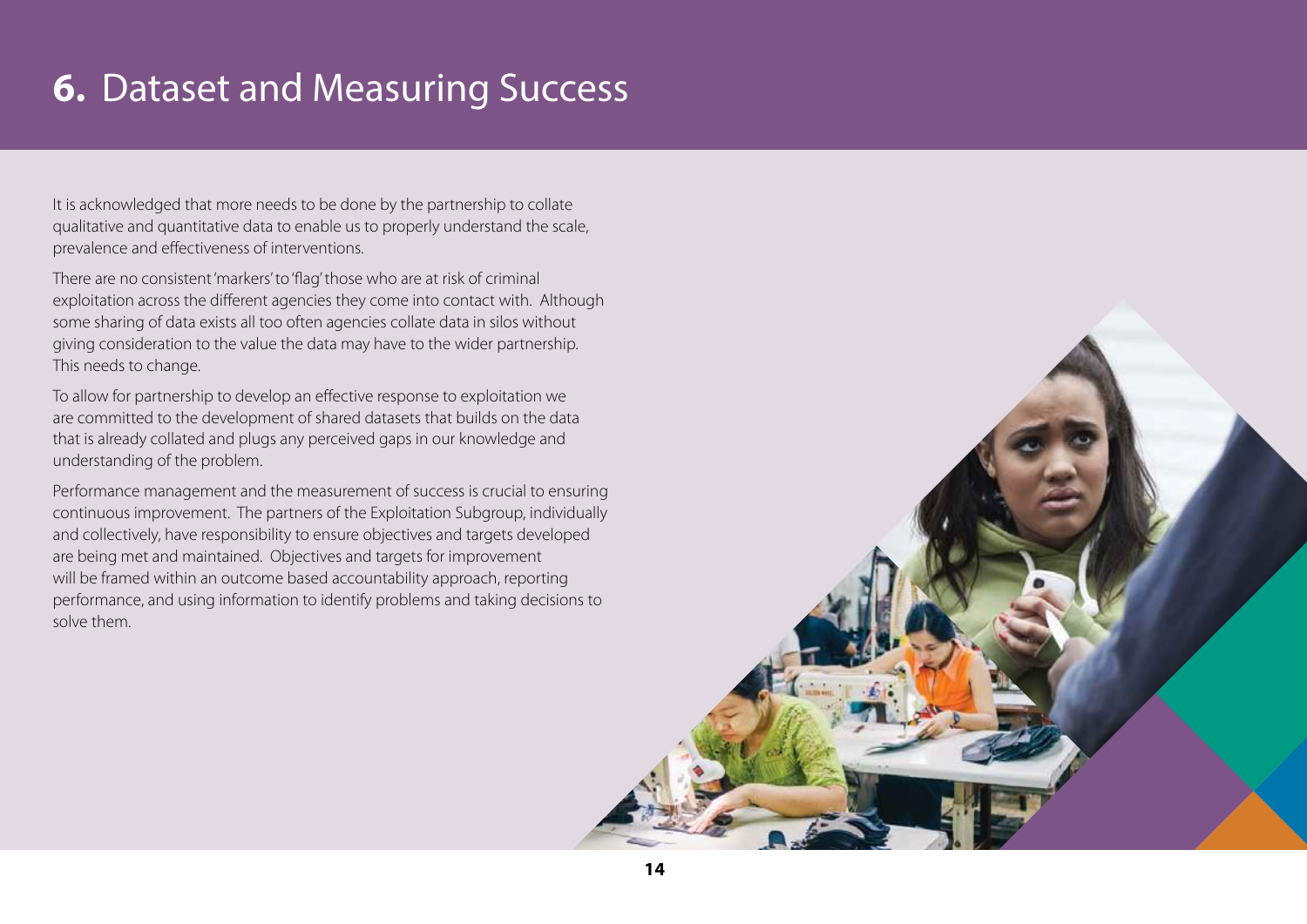# **6.** Dataset and Measuring Success

It is acknowledged that more needs to be done by the partnership to collate qualitative and quantitative data to enable us to properly understand the scale, prevalence and effectiveness of interventions.

There are no consistent 'markers' to 'flag' those who are at risk of criminal exploitation across the different agencies they come into contact with. Although some sharing of data exists all too often agencies collate data in silos without giving consideration to the value the data may have to the wider partnership. This needs to change.

To allow for partnership to develop an effective response to exploitation we are committed to the development of shared datasets that builds on the data that is already collated and plugs any perceived gaps in our knowledge and understanding of the problem.

Performance management and the measurement of success is crucial to ensuring continuous improvement. The partners of the Exploitation Subgroup, individually and collectively, have responsibility to ensure objectives and targets developed are being met and maintained. Objectives and targets for improvement will be framed within an outcome based accountability approach, reporting performance, and using information to identify problems and taking decisions to solve them.

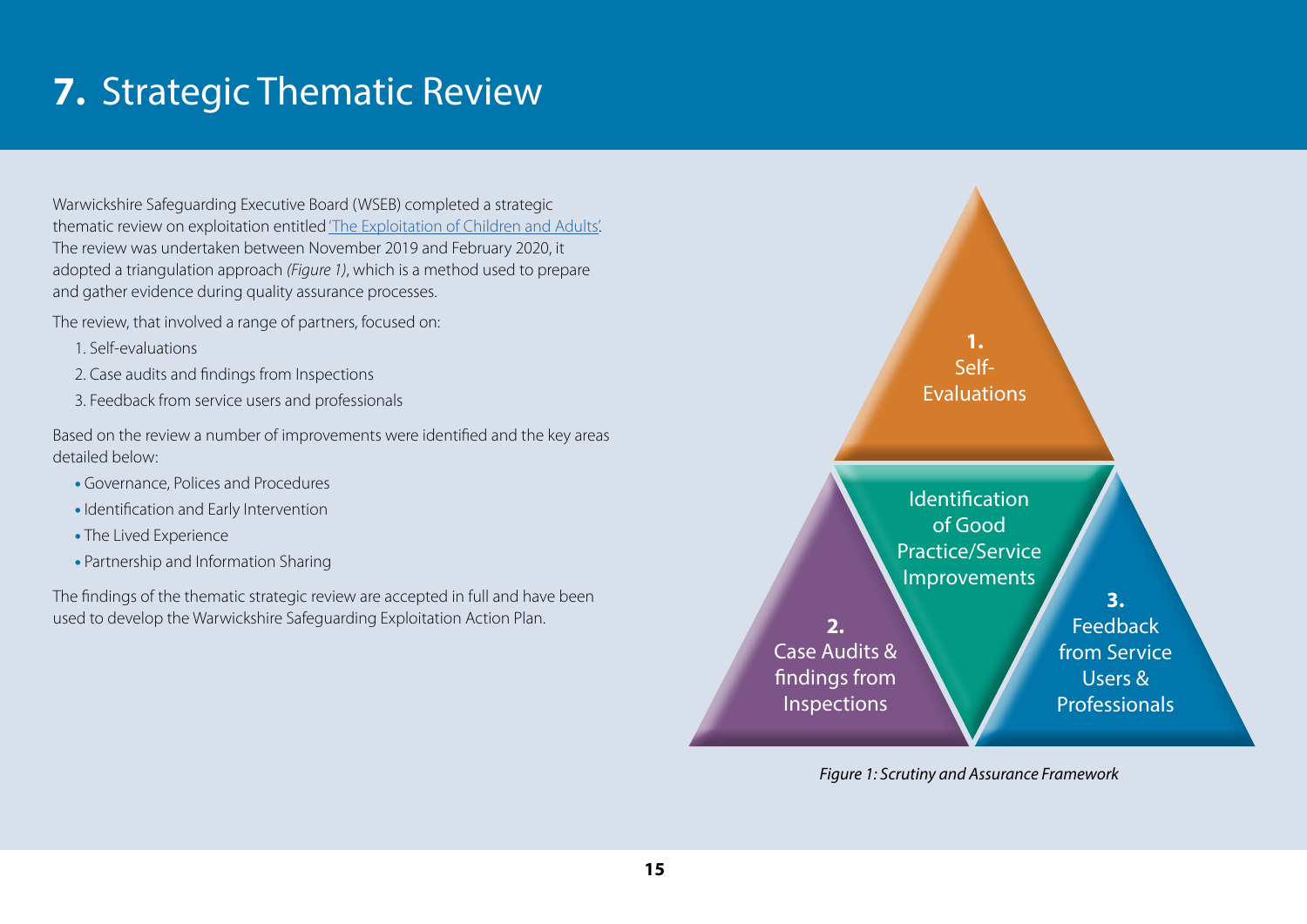# **7.** Strategic Thematic Review

Warwickshire Safeguarding Executive Board (WSEB) completed a strategic thematic review on exploitation entitled ['The Exploitation of Children and Adults'.](https://www.safeguardingwarwickshire.co.uk/images/downloads/Thematic_Reviews/WS_Strategic_Thematic_Review_on_Exploitation_FULL_REPORT_-_v2.0_21_05_2020.pdf) The review was undertaken between November 2019 and February 2020, it adopted a triangulation approach (Figure 1), which is a method used to prepare and gather evidence during quality assurance processes.

The review, that involved a range of partners, focused on:

- 1. Self-evaluations
- 2. Case audits and findings from Inspections
- 3. Feedback from service users and professionals

Based on the review a number of improvements were identified and the key areas detailed below:

- Governance, Polices and Procedures
- Identification and Early Intervention
- The Lived Experience
- Partnership and Information Sharing

The findings of the thematic strategic review are accepted in full and have been used to develop the Warwickshire Safeguarding Exploitation Action Plan.



Figure 1: Scrutiny and Assurance Framework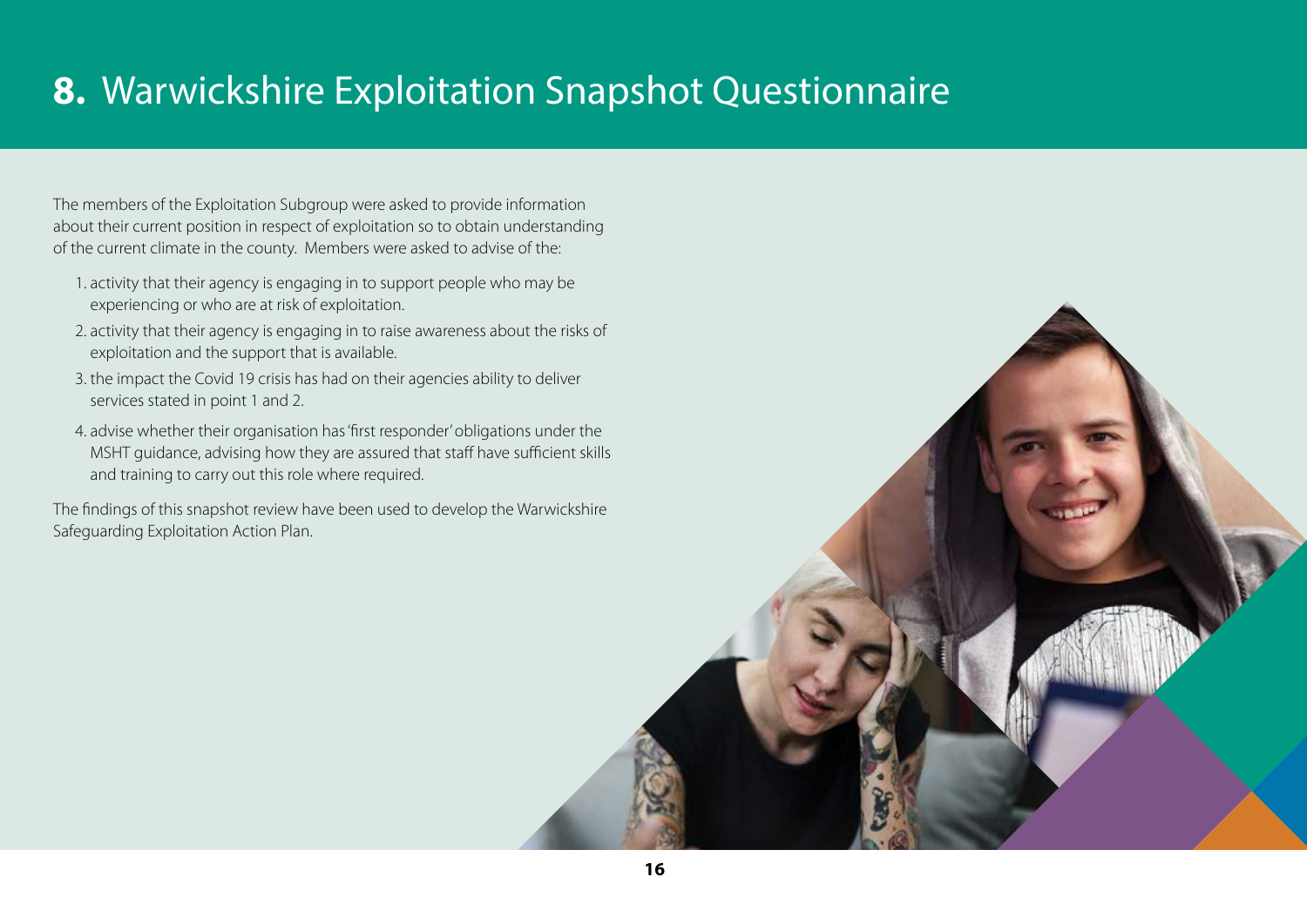# **8.** Warwickshire Exploitation Snapshot Questionnaire

The members of the Exploitation Subgroup were asked to provide information about their current position in respect of exploitation so to obtain understanding of the current climate in the county. Members were asked to advise of the:

- 1. activity that their agency is engaging in to support people who may be experiencing or who are at risk of exploitation.
- 2. activity that their agency is engaging in to raise awareness about the risks of exploitation and the support that is available.
- 3. the impact the Covid 19 crisis has had on their agencies ability to deliver services stated in point 1 and 2.
- 4. advise whether their organisation has 'first responder' obligations under the MSHT guidance, advising how they are assured that staff have sufficient skills and training to carry out this role where required.

The findings of this snapshot review have been used to develop the Warwickshire Safeguarding Exploitation Action Plan.

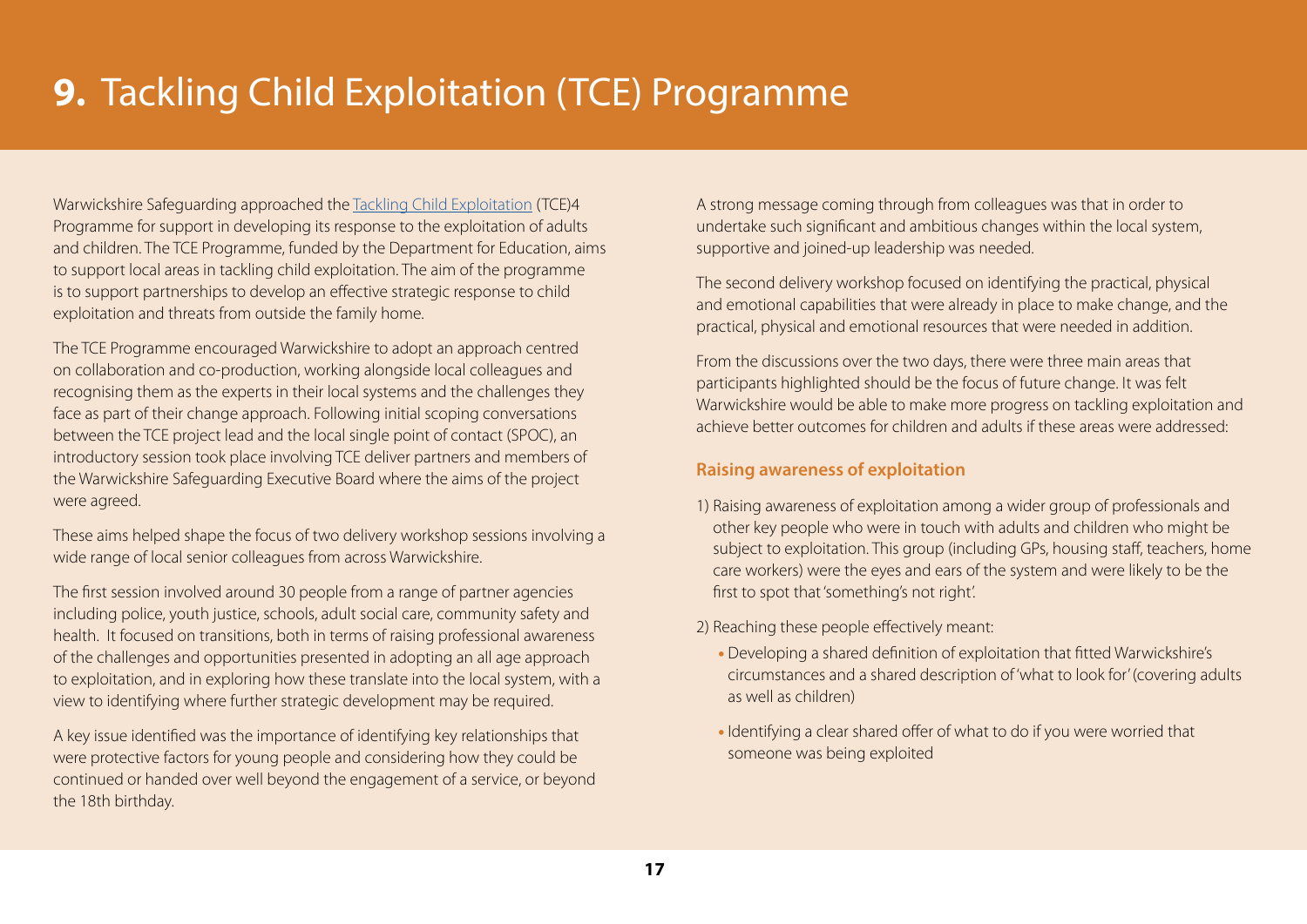# **9.** Tackling Child Exploitation (TCE) Programme

Warwickshire Safeguarding approached the [Tackling Child Exploitation](https://tce.researchinpractice.org.uk/) (TCE)4 Programme for support in developing its response to the exploitation of adults and children. The TCE Programme, funded by the Department for Education, aims to support local areas in tackling child exploitation. The aim of the programme is to support partnerships to develop an effective strategic response to child exploitation and threats from outside the family home.

The TCE Programme encouraged Warwickshire to adopt an approach centred on collaboration and co-production, working alongside local colleagues and recognising them as the experts in their local systems and the challenges they face as part of their change approach. Following initial scoping conversations between the TCE project lead and the local single point of contact (SPOC), an introductory session took place involving TCE deliver partners and members of the Warwickshire Safeguarding Executive Board where the aims of the project were agreed.

These aims helped shape the focus of two delivery workshop sessions involving a wide range of local senior colleagues from across Warwickshire.

The first session involved around 30 people from a range of partner agencies including police, youth justice, schools, adult social care, community safety and health. It focused on transitions, both in terms of raising professional awareness of the challenges and opportunities presented in adopting an all age approach to exploitation, and in exploring how these translate into the local system, with a view to identifying where further strategic development may be required.

A key issue identified was the importance of identifying key relationships that were protective factors for young people and considering how they could be continued or handed over well beyond the engagement of a service, or beyond the 18th birthday.

A strong message coming through from colleagues was that in order to undertake such significant and ambitious changes within the local system, supportive and joined-up leadership was needed.

The second delivery workshop focused on identifying the practical, physical and emotional capabilities that were already in place to make change, and the practical, physical and emotional resources that were needed in addition.

From the discussions over the two days, there were three main areas that participants highlighted should be the focus of future change. It was felt Warwickshire would be able to make more progress on tackling exploitation and achieve better outcomes for children and adults if these areas were addressed:

### **Raising awareness of exploitation**

1) Raising awareness of exploitation among a wider group of professionals and other key people who were in touch with adults and children who might be subject to exploitation. This group (including GPs, housing staff, teachers, home care workers) were the eyes and ears of the system and were likely to be the first to spot that 'something's not right'.

2) Reaching these people effectively meant:

- Developing a shared definition of exploitation that fitted Warwickshire's circumstances and a shared description of 'what to look for' (covering adults as well as children)
- Identifying a clear shared offer of what to do if you were worried that someone was being exploited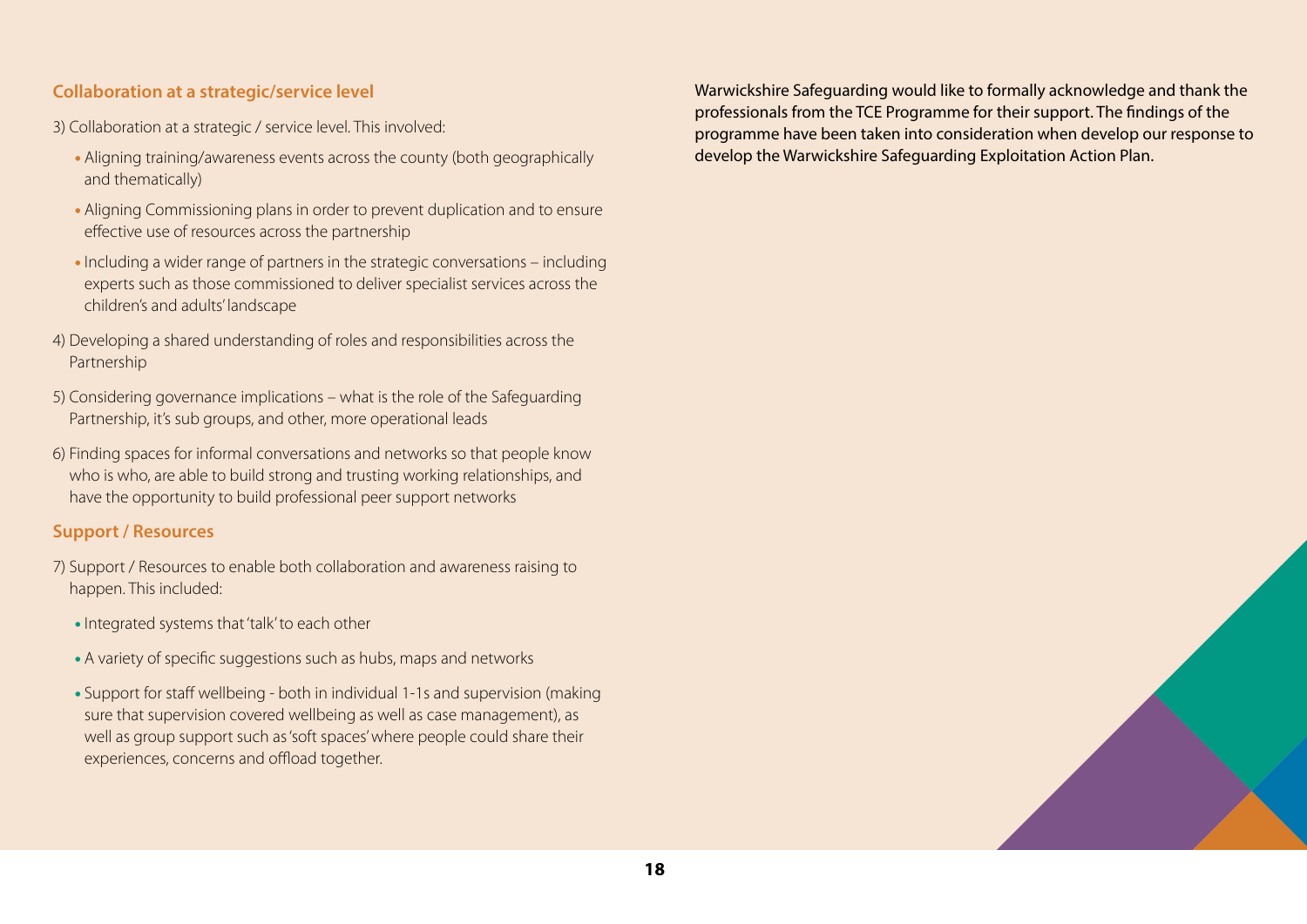### **Collaboration at a strategic/service level**

- 3) Collaboration at a strategic / service level. This involved:
	- Aligning training/awareness events across the county (both geographically and thematically)
	- Aligning Commissioning plans in order to prevent duplication and to ensure effective use of resources across the partnership
	- Including a wider range of partners in the strategic conversations including experts such as those commissioned to deliver specialist services across the children's and adults' landscape
- 4) Developing a shared understanding of roles and responsibilities across the Partnership
- 5) Considering governance implications what is the role of the Safeguarding Partnership, it's sub groups, and other, more operational leads
- 6) Finding spaces for informal conversations and networks so that people know who is who, are able to build strong and trusting working relationships, and have the opportunity to build professional peer support networks

### **Support / Resources**

- 7) Support / Resources to enable both collaboration and awareness raising to happen. This included:
	- Integrated systems that 'talk' to each other
	- A variety of specific suggestions such as hubs, maps and networks
	- Support for staff wellbeing both in individual 1-1s and supervision (making sure that supervision covered wellbeing as well as case management), as well as group support such as 'soft spaces' where people could share their experiences, concerns and offload together.

Warwickshire Safeguarding would like to formally acknowledge and thank the professionals from the TCE Programme for their support. The findings of the programme have been taken into consideration when develop our response to develop the Warwickshire Safeguarding Exploitation Action Plan.

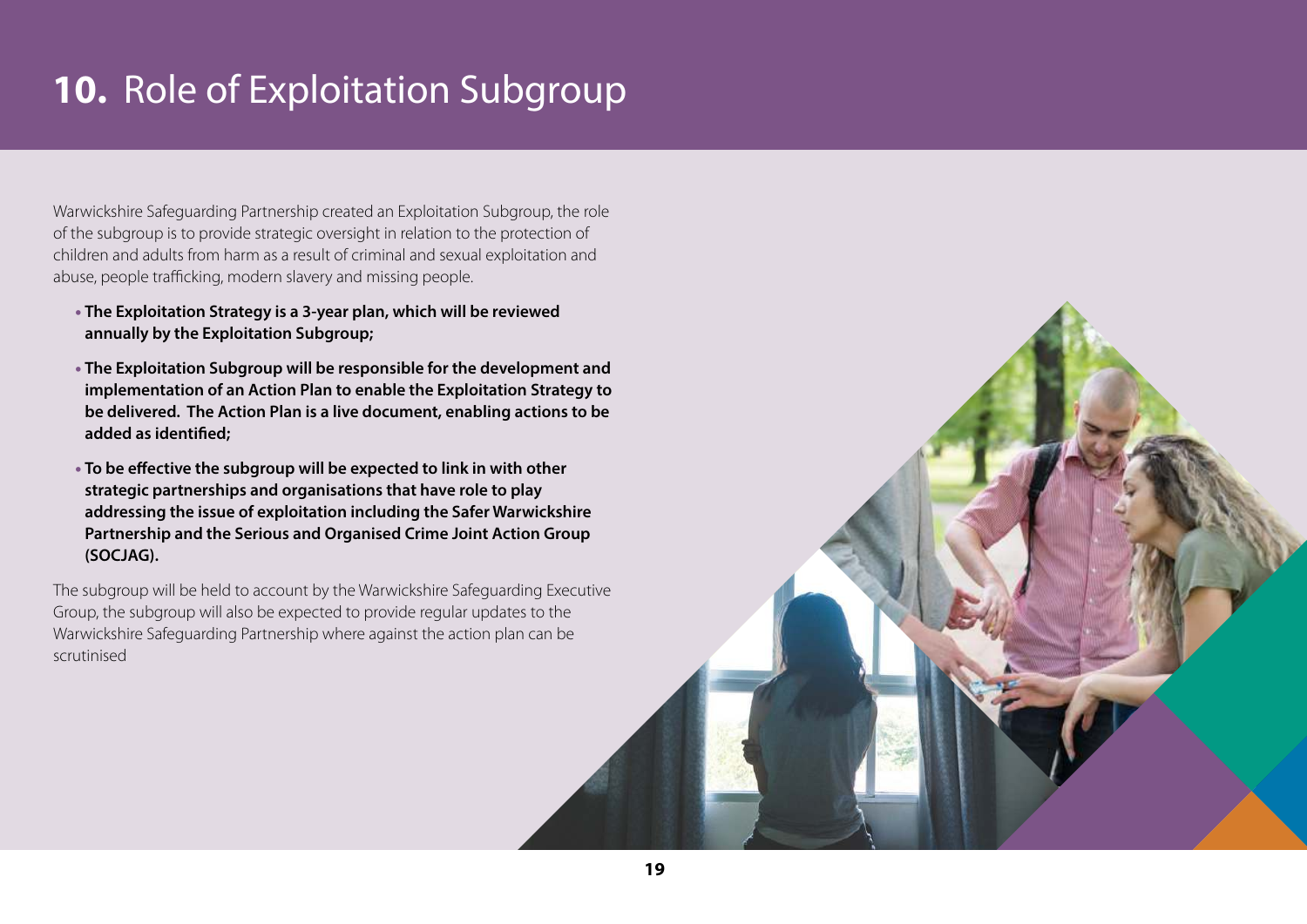# **10.** Role of Exploitation Subgroup

Warwickshire Safeguarding Partnership created an Exploitation Subgroup, the role of the subgroup is to provide strategic oversight in relation to the protection of children and adults from harm as a result of criminal and sexual exploitation and abuse, people trafficking, modern slavery and missing people.

- **The Exploitation Strategy is a 3-year plan, which will be reviewed annually by the Exploitation Subgroup;**
- **The Exploitation Subgroup will be responsible for the development and implementation of an Action Plan to enable the Exploitation Strategy to be delivered. The Action Plan is a live document, enabling actions to be added as identified;**
- **To be effective the subgroup will be expected to link in with other strategic partnerships and organisations that have role to play addressing the issue of exploitation including the Safer Warwickshire Partnership and the Serious and Organised Crime Joint Action Group (SOCJAG).**

The subgroup will be held to account by the Warwickshire Safeguarding Executive Group, the subgroup will also be expected to provide regular updates to the Warwickshire Safeguarding Partnership where against the action plan can be scrutinised